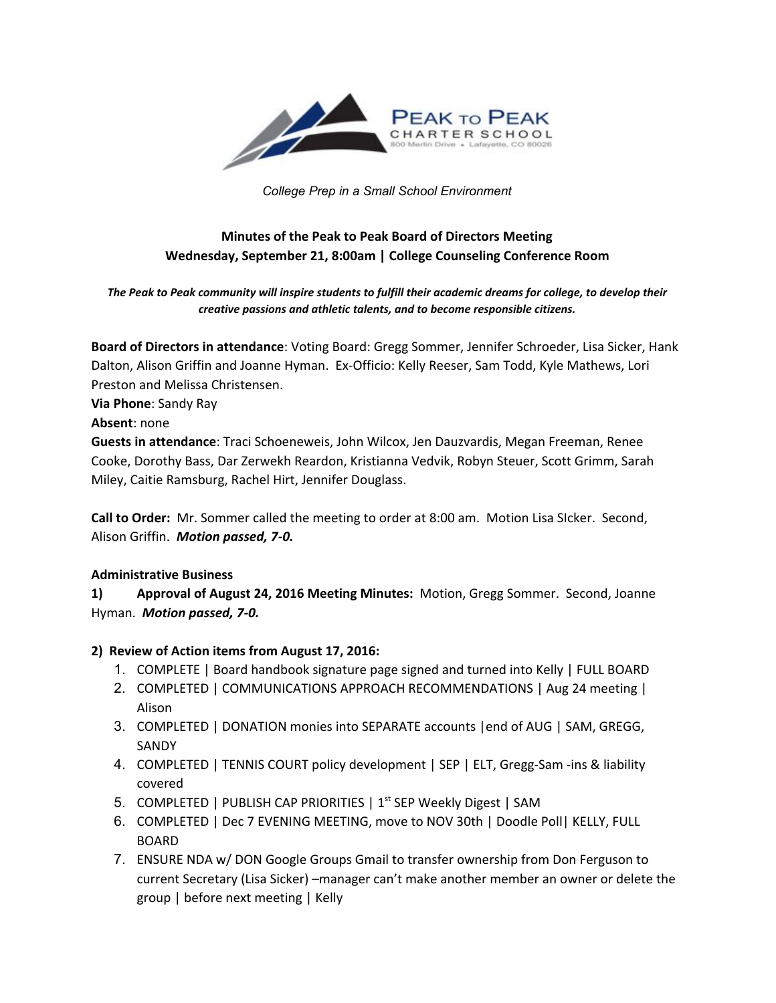

*College Prep in a Small School Environment*

# **Minutes of the Peak to Peak Board of Directors Meeting Wednesday, September 21, 8:00am | College Counseling Conference Room**

*The Peak to Peak community will inspire students to fulfill their academic dreams for college, to develop their creative passions and athletic talents, and to become responsible citizens.*

**Board of Directors in attendance**: Voting Board: Gregg Sommer, Jennifer Schroeder, Lisa Sicker, Hank Dalton, Alison Griffin and Joanne Hyman. Ex-Officio: Kelly Reeser, Sam Todd, Kyle Mathews, Lori Preston and Melissa Christensen.

**Via Phone**: Sandy Ray

**Absent**: none

**Guests in attendance**: Traci Schoeneweis, John Wilcox, Jen Dauzvardis, Megan Freeman, Renee Cooke, Dorothy Bass, Dar Zerwekh Reardon, Kristianna Vedvik, Robyn Steuer, Scott Grimm, Sarah Miley, Caitie Ramsburg, Rachel Hirt, Jennifer Douglass.

**Call to Order:** Mr. Sommer called the meeting to order at 8:00 am. Motion Lisa SIcker. Second, Alison Griffin. *Motion passed, 7-0.*

## **Administrative Business**

**1) Approval of August 24, 2016 Meeting Minutes:** Motion, Gregg Sommer. Second, Joanne Hyman. *Motion passed, 7-0.*

## **2) Review of Action items from August 17, 2016:**

- 1. COMPLETE | Board handbook signature page signed and turned into Kelly | FULL BOARD
- 2. COMPLETED | COMMUNICATIONS APPROACH RECOMMENDATIONS | Aug 24 meeting | Alison
- 3. COMPLETED | DONATION monies into SEPARATE accounts |end of AUG | SAM, GREGG, SANDY
- 4. COMPLETED | TENNIS COURT policy development | SEP | ELT, Gregg-Sam -ins & liability covered
- 5. COMPLETED | PUBLISH CAP PRIORITIES |  $1<sup>st</sup>$  SEP Weekly Digest | SAM
- 6. COMPLETED | Dec 7 EVENING MEETING, move to NOV 30th | Doodle Poll| KELLY, FULL BOARD
- 7. ENSURE NDA w/ DON Google Groups Gmail to transfer ownership from Don Ferguson to current Secretary (Lisa Sicker) –manager can't make another member an owner or delete the group | before next meeting | Kelly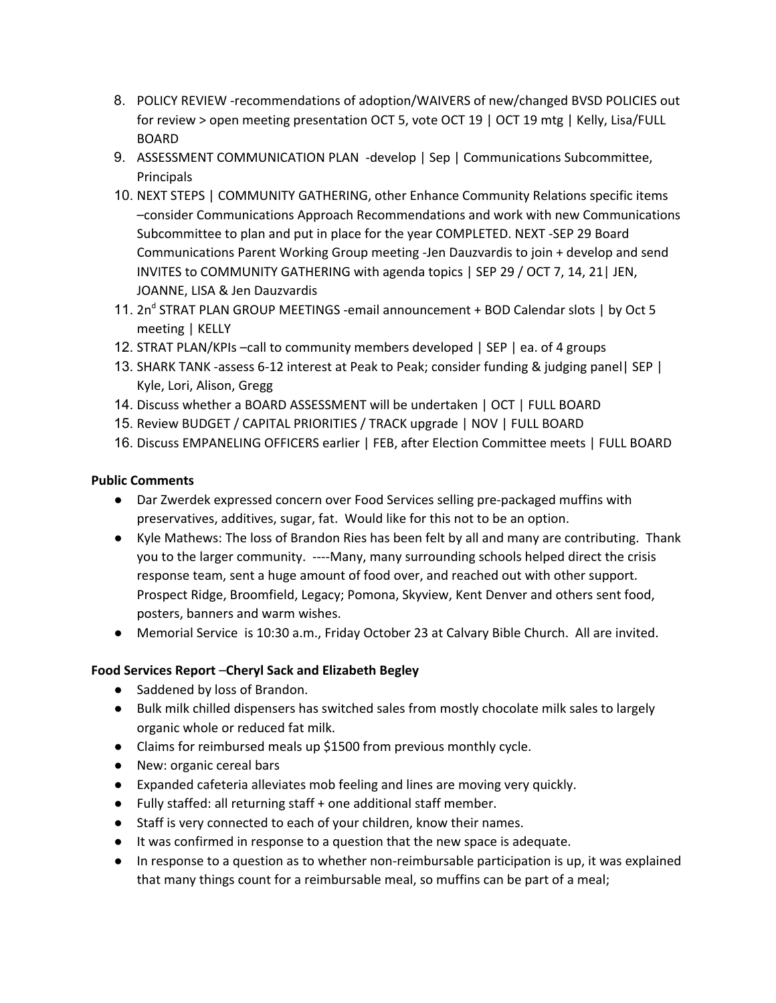- 8. POLICY REVIEW -recommendations of adoption/WAIVERS of new/changed BVSD POLICIES out for review > open meeting presentation OCT 5, vote OCT 19 | OCT 19 mtg | Kelly, Lisa/FULL BOARD
- 9. ASSESSMENT COMMUNICATION PLAN -develop | Sep | Communications Subcommittee, **Principals**
- 10. NEXT STEPS | COMMUNITY GATHERING, other Enhance Community Relations specific items –consider Communications Approach Recommendations and work with new Communications Subcommittee to plan and put in place for the year COMPLETED. NEXT -SEP 29 Board Communications Parent Working Group meeting -Jen Dauzvardis to join + develop and send INVITES to COMMUNITY GATHERING with agenda topics | SEP 29 / OCT 7, 14, 21| JEN, JOANNE, LISA & Jen Dauzvardis
- 11. 2n<sup>d</sup> STRAT PLAN GROUP MEETINGS -email announcement + BOD Calendar slots | by Oct 5 meeting | KELLY
- 12. STRAT PLAN/KPIs –call to community members developed | SEP | ea. of 4 groups
- 13. SHARK TANK -assess 6-12 interest at Peak to Peak; consider funding & judging panel| SEP | Kyle, Lori, Alison, Gregg
- 14. Discuss whether a BOARD ASSESSMENT will be undertaken | OCT | FULL BOARD
- 15. Review BUDGET / CAPITAL PRIORITIES / TRACK upgrade | NOV | FULL BOARD
- 16. Discuss EMPANELING OFFICERS earlier | FEB, after Election Committee meets | FULL BOARD

## **Public Comments**

- Dar Zwerdek expressed concern over Food Services selling pre-packaged muffins with preservatives, additives, sugar, fat. Would like for this not to be an option.
- Kyle Mathews: The loss of Brandon Ries has been felt by all and many are contributing. Thank you to the larger community. ----Many, many surrounding schools helped direct the crisis response team, sent a huge amount of food over, and reached out with other support. Prospect Ridge, Broomfield, Legacy; Pomona, Skyview, Kent Denver and others sent food, posters, banners and warm wishes.
- Memorial Service is 10:30 a.m., Friday October 23 at Calvary Bible Church. All are invited.

## **Food Services Report** –**Cheryl Sack and Elizabeth Begley**

- Saddened by loss of Brandon.
- Bulk milk chilled dispensers has switched sales from mostly chocolate milk sales to largely organic whole or reduced fat milk.
- Claims for reimbursed meals up \$1500 from previous monthly cycle.
- New: organic cereal bars
- Expanded cafeteria alleviates mob feeling and lines are moving very quickly.
- Fully staffed: all returning staff + one additional staff member.
- Staff is very connected to each of your children, know their names.
- It was confirmed in response to a question that the new space is adequate.
- In response to a question as to whether non-reimbursable participation is up, it was explained that many things count for a reimbursable meal, so muffins can be part of a meal;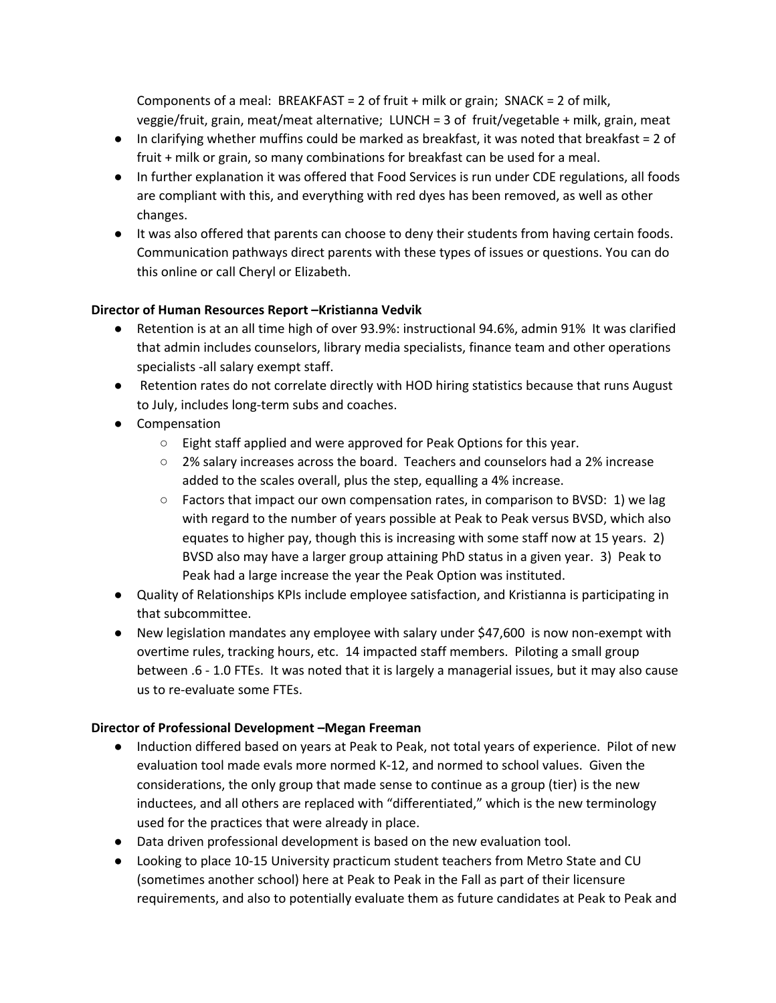Components of a meal: BREAKFAST = 2 of fruit  $+$  milk or grain; SNACK = 2 of milk, veggie/fruit, grain, meat/meat alternative; LUNCH = 3 of fruit/vegetable + milk, grain, meat

- In clarifying whether muffins could be marked as breakfast, it was noted that breakfast = 2 of fruit + milk or grain, so many combinations for breakfast can be used for a meal.
- In further explanation it was offered that Food Services is run under CDE regulations, all foods are compliant with this, and everything with red dyes has been removed, as well as other changes.
- It was also offered that parents can choose to deny their students from having certain foods. Communication pathways direct parents with these types of issues or questions. You can do this online or call Cheryl or Elizabeth.

## **Director of Human Resources Report –Kristianna Vedvik**

- Retention is at an all time high of over 93.9%: instructional 94.6%, admin 91% It was clarified that admin includes counselors, library media specialists, finance team and other operations specialists -all salary exempt staff.
- Retention rates do not correlate directly with HOD hiring statistics because that runs August to July, includes long-term subs and coaches.
- Compensation
	- Eight staff applied and were approved for Peak Options for this year.
	- 2% salary increases across the board. Teachers and counselors had a 2% increase added to the scales overall, plus the step, equalling a 4% increase.
	- Factors that impact our own compensation rates, in comparison to BVSD: 1) we lag with regard to the number of years possible at Peak to Peak versus BVSD, which also equates to higher pay, though this is increasing with some staff now at 15 years. 2) BVSD also may have a larger group attaining PhD status in a given year. 3) Peak to Peak had a large increase the year the Peak Option was instituted.
- Quality of Relationships KPIs include employee satisfaction, and Kristianna is participating in that subcommittee.
- New legislation mandates any employee with salary under \$47,600 is now non-exempt with overtime rules, tracking hours, etc. 14 impacted staff members. Piloting a small group between .6 - 1.0 FTEs. It was noted that it is largely a managerial issues, but it may also cause us to re-evaluate some FTEs.

## **Director of Professional Development –Megan Freeman**

- Induction differed based on years at Peak to Peak, not total years of experience. Pilot of new evaluation tool made evals more normed K-12, and normed to school values. Given the considerations, the only group that made sense to continue as a group (tier) is the new inductees, and all others are replaced with "differentiated," which is the new terminology used for the practices that were already in place.
- Data driven professional development is based on the new evaluation tool.
- Looking to place 10-15 University practicum student teachers from Metro State and CU (sometimes another school) here at Peak to Peak in the Fall as part of their licensure requirements, and also to potentially evaluate them as future candidates at Peak to Peak and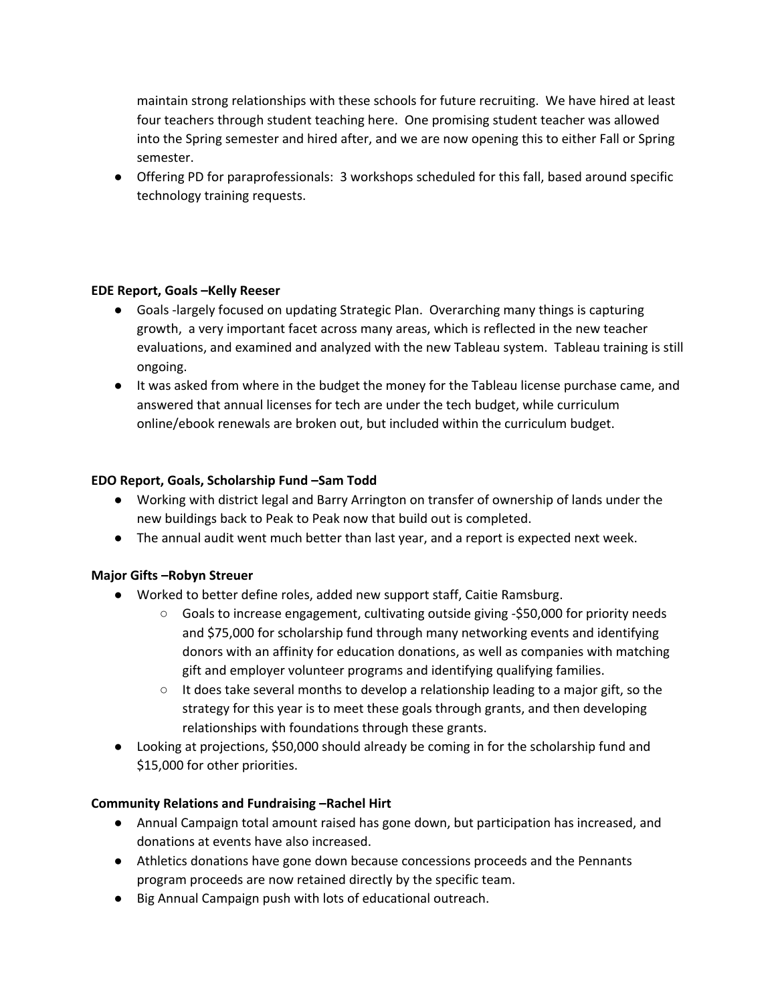maintain strong relationships with these schools for future recruiting. We have hired at least four teachers through student teaching here. One promising student teacher was allowed into the Spring semester and hired after, and we are now opening this to either Fall or Spring semester.

● Offering PD for paraprofessionals: 3 workshops scheduled for this fall, based around specific technology training requests.

#### **EDE Report, Goals –Kelly Reeser**

- Goals -largely focused on updating Strategic Plan. Overarching many things is capturing growth, a very important facet across many areas, which is reflected in the new teacher evaluations, and examined and analyzed with the new Tableau system. Tableau training is still ongoing.
- It was asked from where in the budget the money for the Tableau license purchase came, and answered that annual licenses for tech are under the tech budget, while curriculum online/ebook renewals are broken out, but included within the curriculum budget.

#### **EDO Report, Goals, Scholarship Fund –Sam Todd**

- Working with district legal and Barry Arrington on transfer of ownership of lands under the new buildings back to Peak to Peak now that build out is completed.
- The annual audit went much better than last year, and a report is expected next week.

#### **Major Gifts –Robyn Streuer**

- Worked to better define roles, added new support staff, Caitie Ramsburg.
	- $\circ$  Goals to increase engagement, cultivating outside giving -\$50,000 for priority needs and \$75,000 for scholarship fund through many networking events and identifying donors with an affinity for education donations, as well as companies with matching gift and employer volunteer programs and identifying qualifying families.
	- $\circ$  It does take several months to develop a relationship leading to a major gift, so the strategy for this year is to meet these goals through grants, and then developing relationships with foundations through these grants.
- Looking at projections, \$50,000 should already be coming in for the scholarship fund and \$15,000 for other priorities.

#### **Community Relations and Fundraising –Rachel Hirt**

- Annual Campaign total amount raised has gone down, but participation has increased, and donations at events have also increased.
- Athletics donations have gone down because concessions proceeds and the Pennants program proceeds are now retained directly by the specific team.
- Big Annual Campaign push with lots of educational outreach.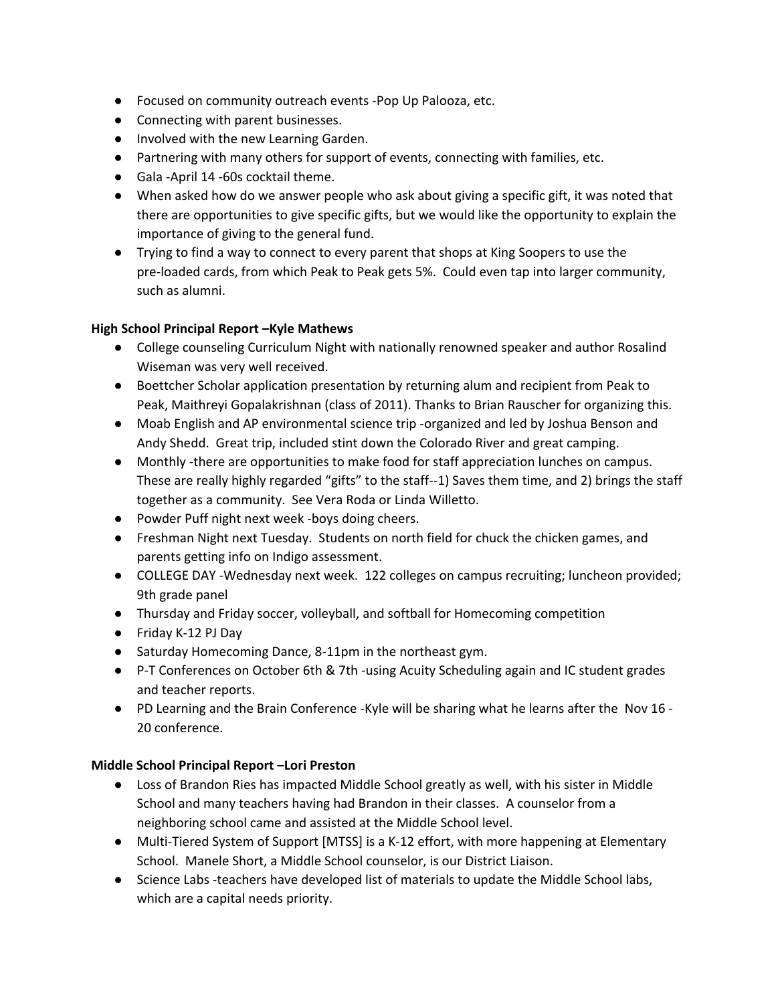- Focused on community outreach events -Pop Up Palooza, etc.
- Connecting with parent businesses.
- Involved with the new Learning Garden.
- Partnering with many others for support of events, connecting with families, etc.
- Gala -April 14 -60s cocktail theme.
- When asked how do we answer people who ask about giving a specific gift, it was noted that there are opportunities to give specific gifts, but we would like the opportunity to explain the importance of giving to the general fund.
- Trying to find a way to connect to every parent that shops at King Soopers to use the pre-loaded cards, from which Peak to Peak gets 5%. Could even tap into larger community, such as alumni.

## **High School Principal Report –Kyle Mathews**

- College counseling Curriculum Night with nationally renowned speaker and author Rosalind Wiseman was very well received.
- Boettcher Scholar application presentation by returning alum and recipient from Peak to Peak, Maithreyi Gopalakrishnan (class of 2011). Thanks to Brian Rauscher for organizing this.
- Moab English and AP environmental science trip -organized and led by Joshua Benson and Andy Shedd. Great trip, included stint down the Colorado River and great camping.
- Monthly -there are opportunities to make food for staff appreciation lunches on campus. These are really highly regarded "gifts" to the staff--1) Saves them time, and 2) brings the staff together as a community. See Vera Roda or Linda Willetto.
- Powder Puff night next week -boys doing cheers.
- Freshman Night next Tuesday. Students on north field for chuck the chicken games, and parents getting info on Indigo assessment.
- COLLEGE DAY -Wednesday next week. 122 colleges on campus recruiting; luncheon provided; 9th grade panel
- Thursday and Friday soccer, volleyball, and softball for Homecoming competition
- Friday K-12 PJ Day
- Saturday Homecoming Dance, 8-11pm in the northeast gym.
- P-T Conferences on October 6th & 7th -using Acuity Scheduling again and IC student grades and teacher reports.
- PD Learning and the Brain Conference -Kyle will be sharing what he learns after the Nov 16 20 conference.

## **Middle School Principal Report –Lori Preston**

- Loss of Brandon Ries has impacted Middle School greatly as well, with his sister in Middle School and many teachers having had Brandon in their classes. A counselor from a neighboring school came and assisted at the Middle School level.
- Multi-Tiered System of Support [MTSS] is a K-12 effort, with more happening at Elementary School. Manele Short, a Middle School counselor, is our District Liaison.
- Science Labs -teachers have developed list of materials to update the Middle School labs, which are a capital needs priority.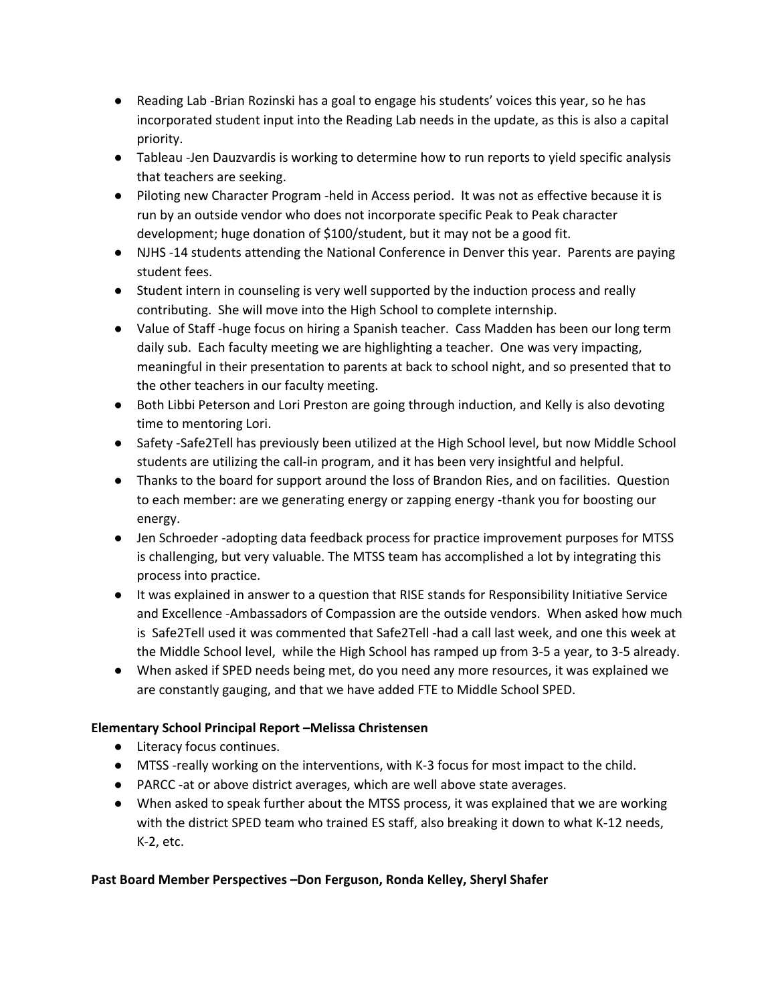- Reading Lab -Brian Rozinski has a goal to engage his students' voices this year, so he has incorporated student input into the Reading Lab needs in the update, as this is also a capital priority.
- Tableau -Jen Dauzvardis is working to determine how to run reports to yield specific analysis that teachers are seeking.
- Piloting new Character Program -held in Access period. It was not as effective because it is run by an outside vendor who does not incorporate specific Peak to Peak character development; huge donation of \$100/student, but it may not be a good fit.
- NJHS -14 students attending the National Conference in Denver this year. Parents are paying student fees.
- Student intern in counseling is very well supported by the induction process and really contributing. She will move into the High School to complete internship.
- Value of Staff -huge focus on hiring a Spanish teacher. Cass Madden has been our long term daily sub. Each faculty meeting we are highlighting a teacher. One was very impacting, meaningful in their presentation to parents at back to school night, and so presented that to the other teachers in our faculty meeting.
- Both Libbi Peterson and Lori Preston are going through induction, and Kelly is also devoting time to mentoring Lori.
- Safety -Safe2Tell has previously been utilized at the High School level, but now Middle School students are utilizing the call-in program, and it has been very insightful and helpful.
- Thanks to the board for support around the loss of Brandon Ries, and on facilities. Question to each member: are we generating energy or zapping energy -thank you for boosting our energy.
- Jen Schroeder -adopting data feedback process for practice improvement purposes for MTSS is challenging, but very valuable. The MTSS team has accomplished a lot by integrating this process into practice.
- It was explained in answer to a question that RISE stands for Responsibility Initiative Service and Excellence -Ambassadors of Compassion are the outside vendors. When asked how much is Safe2Tell used it was commented that Safe2Tell -had a call last week, and one this week at the Middle School level, while the High School has ramped up from 3-5 a year, to 3-5 already.
- When asked if SPED needs being met, do you need any more resources, it was explained we are constantly gauging, and that we have added FTE to Middle School SPED.

# **Elementary School Principal Report –Melissa Christensen**

- Literacy focus continues.
- MTSS -really working on the interventions, with K-3 focus for most impact to the child.
- PARCC -at or above district averages, which are well above state averages.
- When asked to speak further about the MTSS process, it was explained that we are working with the district SPED team who trained ES staff, also breaking it down to what K-12 needs, K-2, etc.

## **Past Board Member Perspectives –Don Ferguson, Ronda Kelley, Sheryl Shafer**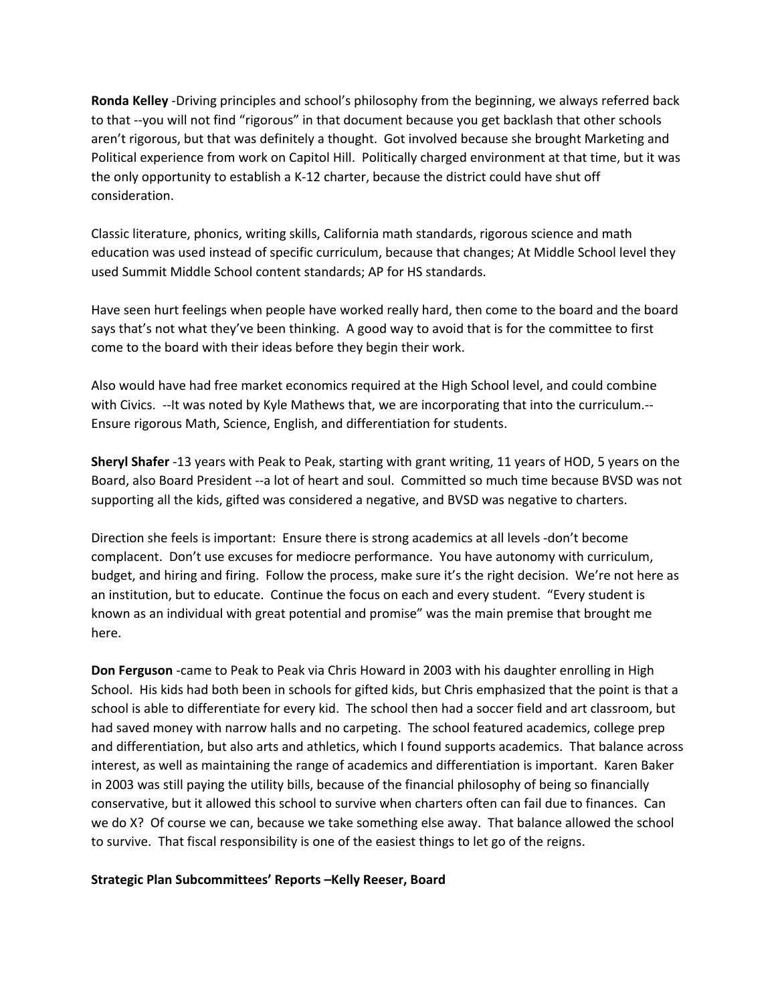**Ronda Kelley** -Driving principles and school's philosophy from the beginning, we always referred back to that --you will not find "rigorous" in that document because you get backlash that other schools aren't rigorous, but that was definitely a thought. Got involved because she brought Marketing and Political experience from work on Capitol Hill. Politically charged environment at that time, but it was the only opportunity to establish a K-12 charter, because the district could have shut off consideration.

Classic literature, phonics, writing skills, California math standards, rigorous science and math education was used instead of specific curriculum, because that changes; At Middle School level they used Summit Middle School content standards; AP for HS standards.

Have seen hurt feelings when people have worked really hard, then come to the board and the board says that's not what they've been thinking. A good way to avoid that is for the committee to first come to the board with their ideas before they begin their work.

Also would have had free market economics required at the High School level, and could combine with Civics. --It was noted by Kyle Mathews that, we are incorporating that into the curriculum.-- Ensure rigorous Math, Science, English, and differentiation for students.

**Sheryl Shafer** -13 years with Peak to Peak, starting with grant writing, 11 years of HOD, 5 years on the Board, also Board President --a lot of heart and soul. Committed so much time because BVSD was not supporting all the kids, gifted was considered a negative, and BVSD was negative to charters.

Direction she feels is important: Ensure there is strong academics at all levels -don't become complacent. Don't use excuses for mediocre performance. You have autonomy with curriculum, budget, and hiring and firing. Follow the process, make sure it's the right decision. We're not here as an institution, but to educate. Continue the focus on each and every student. "Every student is known as an individual with great potential and promise" was the main premise that brought me here.

**Don Ferguson** -came to Peak to Peak via Chris Howard in 2003 with his daughter enrolling in High School. His kids had both been in schools for gifted kids, but Chris emphasized that the point is that a school is able to differentiate for every kid. The school then had a soccer field and art classroom, but had saved money with narrow halls and no carpeting. The school featured academics, college prep and differentiation, but also arts and athletics, which I found supports academics. That balance across interest, as well as maintaining the range of academics and differentiation is important. Karen Baker in 2003 was still paying the utility bills, because of the financial philosophy of being so financially conservative, but it allowed this school to survive when charters often can fail due to finances. Can we do X? Of course we can, because we take something else away. That balance allowed the school to survive. That fiscal responsibility is one of the easiest things to let go of the reigns.

#### **Strategic Plan Subcommittees' Reports –Kelly Reeser, Board**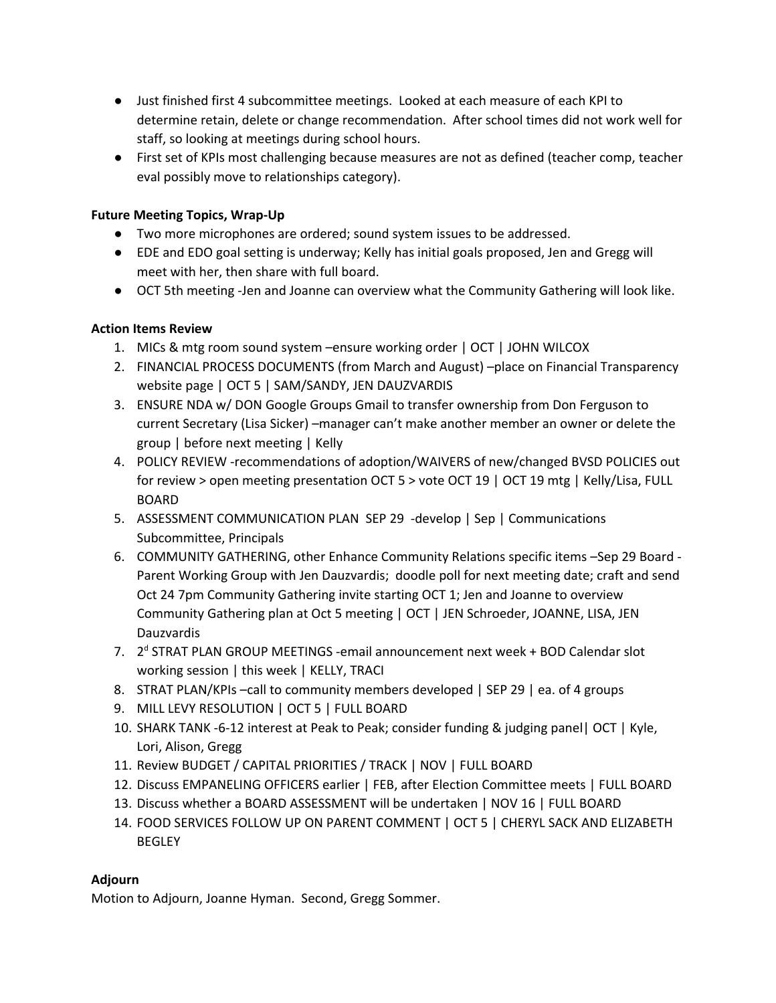- Just finished first 4 subcommittee meetings. Looked at each measure of each KPI to determine retain, delete or change recommendation. After school times did not work well for staff, so looking at meetings during school hours.
- First set of KPIs most challenging because measures are not as defined (teacher comp, teacher eval possibly move to relationships category).

## **Future Meeting Topics, Wrap-Up**

- Two more microphones are ordered; sound system issues to be addressed.
- EDE and EDO goal setting is underway; Kelly has initial goals proposed, Jen and Gregg will meet with her, then share with full board.
- OCT 5th meeting -Jen and Joanne can overview what the Community Gathering will look like.

## **Action Items Review**

- 1. MICs & mtg room sound system –ensure working order | OCT | JOHN WILCOX
- 2. FINANCIAL PROCESS DOCUMENTS (from March and August) –place on Financial Transparency website page | OCT 5 | SAM/SANDY, JEN DAUZVARDIS
- 3. ENSURE NDA w/ DON Google Groups Gmail to transfer ownership from Don Ferguson to current Secretary (Lisa Sicker) –manager can't make another member an owner or delete the group | before next meeting | Kelly
- 4. POLICY REVIEW -recommendations of adoption/WAIVERS of new/changed BVSD POLICIES out for review > open meeting presentation OCT 5 > vote OCT 19 | OCT 19 mtg | Kelly/Lisa, FULL BOARD
- 5. ASSESSMENT COMMUNICATION PLAN SEP 29 -develop | Sep | Communications Subcommittee, Principals
- 6. COMMUNITY GATHERING, other Enhance Community Relations specific items –Sep 29 Board Parent Working Group with Jen Dauzvardis; doodle poll for next meeting date; craft and send Oct 24 7pm Community Gathering invite starting OCT 1; Jen and Joanne to overview Community Gathering plan at Oct 5 meeting | OCT | JEN Schroeder, JOANNE, LISA, JEN Dauzvardis
- 7. 2<sup>d</sup> STRAT PLAN GROUP MEETINGS -email announcement next week + BOD Calendar slot working session | this week | KELLY, TRACI
- 8. STRAT PLAN/KPIs –call to community members developed | SEP 29 | ea. of 4 groups
- 9. MILL LEVY RESOLUTION | OCT 5 | FULL BOARD
- 10. SHARK TANK -6-12 interest at Peak to Peak; consider funding & judging panel| OCT | Kyle, Lori, Alison, Gregg
- 11. Review BUDGET / CAPITAL PRIORITIES / TRACK | NOV | FULL BOARD
- 12. Discuss EMPANELING OFFICERS earlier | FEB, after Election Committee meets | FULL BOARD
- 13. Discuss whether a BOARD ASSESSMENT will be undertaken | NOV 16 | FULL BOARD
- 14. FOOD SERVICES FOLLOW UP ON PARENT COMMENT | OCT 5 | CHERYL SACK AND ELIZABETH **BEGLEY**

## **Adjourn**

Motion to Adjourn, Joanne Hyman. Second, Gregg Sommer.